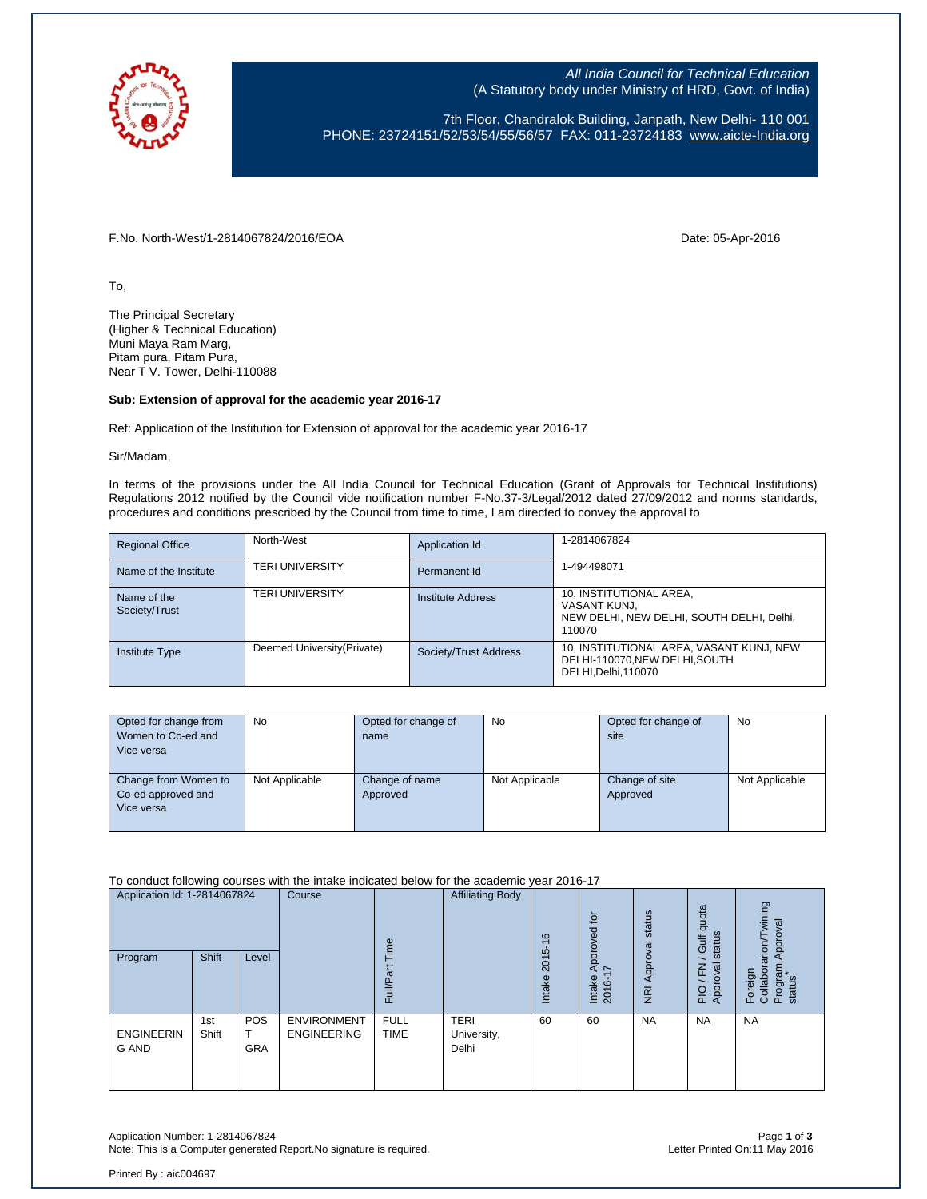

All India Council for Technical Education (A Statutory body under Ministry of HRD, Govt. of India)

7th Floor, Chandralok Building, Janpath, New Delhi- 110 001 PHONE: 23724151/52/53/54/55/56/57 FAX: 011-23724183 [www.aicte-India.org](http://www.aicte-india.org/)

F.No. North-West/1-2814067824/2016/EOA Date: 05-Apr-2016

To,

The Principal Secretary (Higher & Technical Education) Muni Maya Ram Marg, Pitam pura, Pitam Pura, Near T V. Tower, Delhi-110088

## **Sub: Extension of approval for the academic year 2016-17**

Ref: Application of the Institution for Extension of approval for the academic year 2016-17

Sir/Madam,

In terms of the provisions under the All India Council for Technical Education (Grant of Approvals for Technical Institutions) Regulations 2012 notified by the Council vide notification number F-No.37-3/Legal/2012 dated 27/09/2012 and norms standards, procedures and conditions prescribed by the Council from time to time, I am directed to convey the approval to

| <b>Regional Office</b>       | North-West                  | Application Id        | 1-2814067824                                                                                   |
|------------------------------|-----------------------------|-----------------------|------------------------------------------------------------------------------------------------|
| Name of the Institute        | <b>TERI UNIVERSITY</b>      | Permanent Id          | 1-494498071                                                                                    |
| Name of the<br>Society/Trust | <b>TERI UNIVERSITY</b>      | Institute Address     | 10, INSTITUTIONAL AREA,<br>VASANT KUNJ.<br>NEW DELHI, NEW DELHI, SOUTH DELHI, Delhi,<br>110070 |
| <b>Institute Type</b>        | Deemed University (Private) | Society/Trust Address | 10, INSTITUTIONAL AREA, VASANT KUNJ, NEW<br>DELHI-110070.NEW DELHI.SOUTH<br>DELHI.Delhi.110070 |

| Opted for change from | <b>No</b>      | Opted for change of | <b>No</b>      | Opted for change of | <b>No</b>      |
|-----------------------|----------------|---------------------|----------------|---------------------|----------------|
| Women to Co-ed and    |                | name                |                | site                |                |
| Vice versa            |                |                     |                |                     |                |
|                       |                |                     |                |                     |                |
| Change from Women to  | Not Applicable | Change of name      | Not Applicable | Change of site      | Not Applicable |
| Co-ed approved and    |                | Approved            |                | Approved            |                |
| Vice versa            |                |                     |                |                     |                |
|                       |                |                     |                |                     |                |

To conduct following courses with the intake indicated below for the academic year 2016-17

| Application Id: 1-2814067824<br>Program | Shift        | Level                         | Course                                   | $\omega$<br>σ<br>ո<br>Œ    | <b>Affiliating Body</b>             | $\frac{6}{2}$<br>2015<br><b>Intake</b> | Approved for<br>$\overline{ }$<br>Intake<br>2016- | status<br>Approval<br>$\overline{R}$ | quota<br>status<br><b>Gulf</b><br>준<br>ξā<br>Appro<br>$\Omega$<br>$\overline{a}$ | wining<br>Approval<br>arion<br>Program<br>status<br>Foreign<br>Collabor<br>$\mathbf{a}$ |
|-----------------------------------------|--------------|-------------------------------|------------------------------------------|----------------------------|-------------------------------------|----------------------------------------|---------------------------------------------------|--------------------------------------|----------------------------------------------------------------------------------|-----------------------------------------------------------------------------------------|
| <b>ENGINEERIN</b><br><b>G AND</b>       | 1st<br>Shift | <b>POS</b><br>т<br><b>GRA</b> | <b>ENVIRONMENT</b><br><b>ENGINEERING</b> | <b>FULL</b><br><b>TIME</b> | <b>TERI</b><br>University,<br>Delhi | 60                                     | 60                                                | <b>NA</b>                            | <b>NA</b>                                                                        | <b>NA</b>                                                                               |

Application Number: 1-2814067824 Page **1** of **3** Note: This is a Computer generated Report. No signature is required.

Printed By : aic004697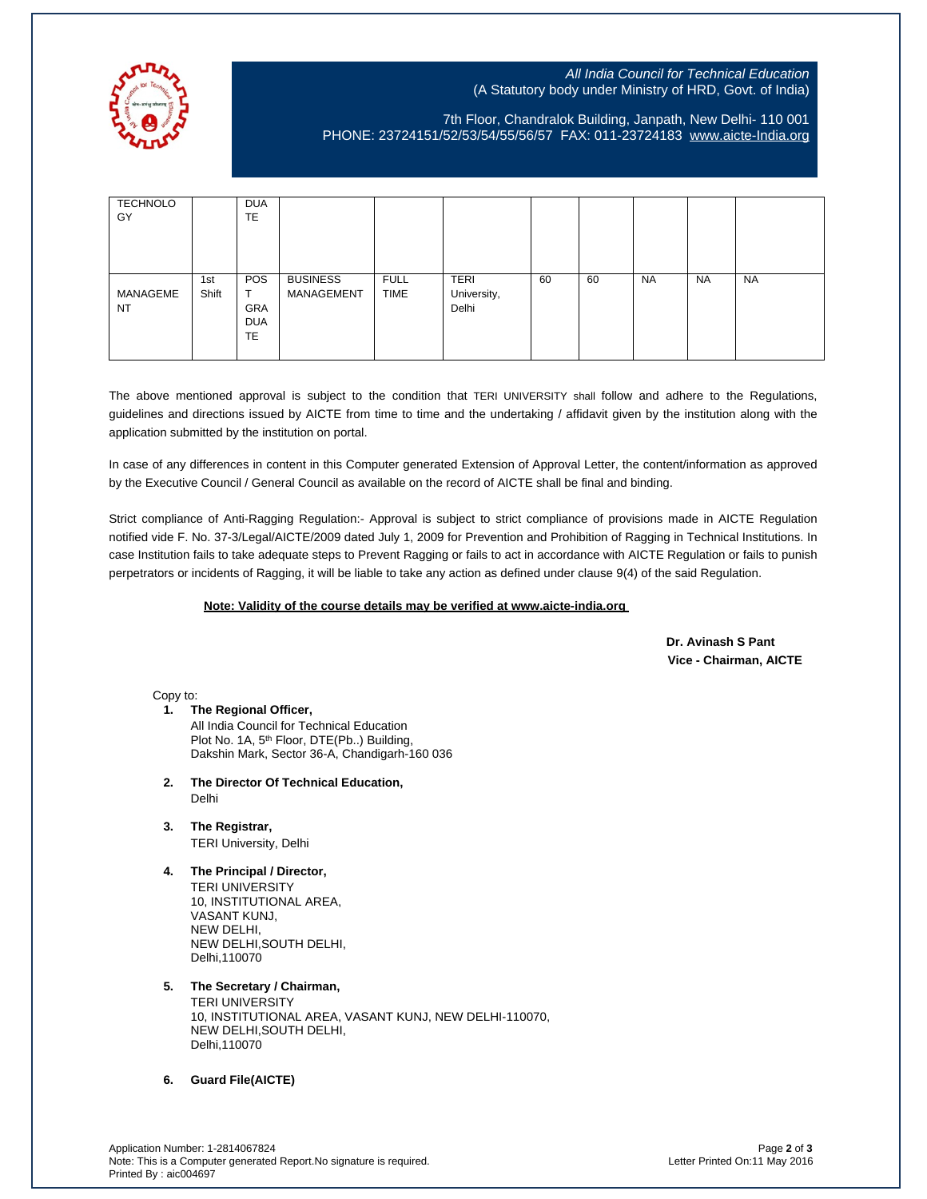

## All India Council for Technical Education (A Statutory body under Ministry of HRD, Govt. of India)

## 7th Floor, Chandralok Building, Janpath, New Delhi- 110 001 PHONE: 23724151/52/53/54/55/56/57 FAX: 011-23724183 [www.aicte-India.org](http://www.aicte-india.org/)

| <b>TECHNOLO</b><br>GY |              | <b>DUA</b><br>TE                      |                               |                            |                                     |    |    |           |           |           |
|-----------------------|--------------|---------------------------------------|-------------------------------|----------------------------|-------------------------------------|----|----|-----------|-----------|-----------|
| MANAGEME<br>NT        | 1st<br>Shift | <b>POS</b><br>GRA<br><b>DUA</b><br>TE | <b>BUSINESS</b><br>MANAGEMENT | <b>FULL</b><br><b>TIME</b> | <b>TERI</b><br>University,<br>Delhi | 60 | 60 | <b>NA</b> | <b>NA</b> | <b>NA</b> |

The above mentioned approval is subject to the condition that TERI UNIVERSITY shall follow and adhere to the Regulations, guidelines and directions issued by AICTE from time to time and the undertaking / affidavit given by the institution along with the application submitted by the institution on portal.

In case of any differences in content in this Computer generated Extension of Approval Letter, the content/information as approved by the Executive Council / General Council as available on the record of AICTE shall be final and binding.

Strict compliance of Anti-Ragging Regulation:- Approval is subject to strict compliance of provisions made in AICTE Regulation notified vide F. No. 37-3/Legal/AICTE/2009 dated July 1, 2009 for Prevention and Prohibition of Ragging in Technical Institutions. In case Institution fails to take adequate steps to Prevent Ragging or fails to act in accordance with AICTE Regulation or fails to punish perpetrators or incidents of Ragging, it will be liable to take any action as defined under clause 9(4) of the said Regulation.

## **Note: Validity of the course details may be verified at www.aicte-india.org**

 **Dr. Avinash S Pant Vice - Chairman, AICTE**

Copy to:

- **1. The Regional Officer,** All India Council for Technical Education Plot No. 1A, 5<sup>th</sup> Floor, DTE(Pb..) Building, Dakshin Mark, Sector 36-A, Chandigarh-160 036
- **2. The Director Of Technical Education,** Delhi
- **3. The Registrar,** TERI University, Delhi
- **4. The Principal / Director,** TERI UNIVERSITY 10, INSTITUTIONAL AREA, VASANT KUNJ, NEW DELHI, NEW DELHI,SOUTH DELHI, Delhi,110070
- **5. The Secretary / Chairman,** TERI UNIVERSITY 10, INSTITUTIONAL AREA, VASANT KUNJ, NEW DELHI-110070, NEW DELHI,SOUTH DELHI, Delhi,110070

**6. Guard File(AICTE)**